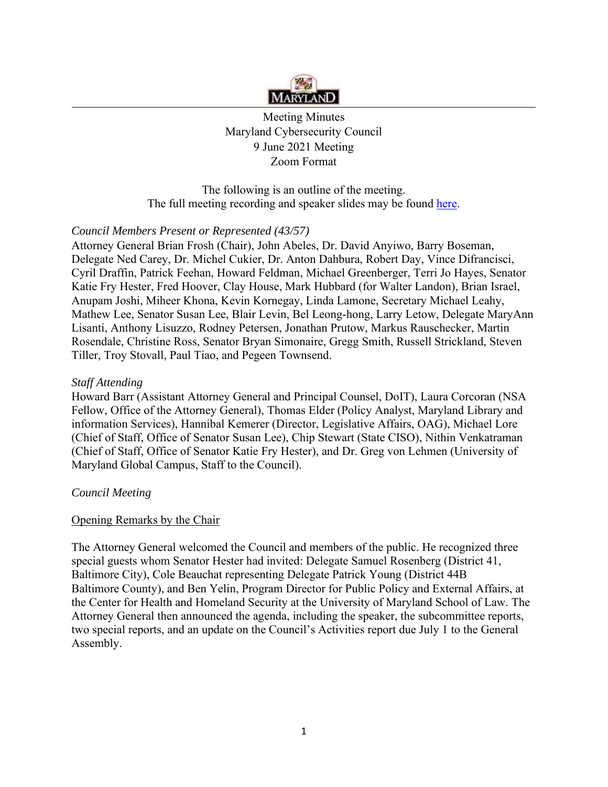

Meeting Minutes Maryland Cybersecurity Council 9 June 2021 Meeting Zoom Format

The following is an outline of the meeting. The full meeting recording and speaker slides may be found [here.](https://1drv.ms/u/s!AjqEqIxJkAfagb0wqVL9UQPaQCf90Q?e=WYAOVJ)

# *Council Members Present or Represented (43/57)*

Attorney General Brian Frosh (Chair), John Abeles, Dr. David Anyiwo, Barry Boseman, Delegate Ned Carey, Dr. Michel Cukier, Dr. Anton Dahbura, Robert Day, Vince Difrancisci, Cyril Draffin, Patrick Feehan, Howard Feldman, Michael Greenberger, Terri Jo Hayes, Senator Katie Fry Hester, Fred Hoover, Clay House, Mark Hubbard (for Walter Landon), Brian Israel, Anupam Joshi, Miheer Khona, Kevin Kornegay, Linda Lamone, Secretary Michael Leahy, Mathew Lee, Senator Susan Lee, Blair Levin, Bel Leong-hong, Larry Letow, Delegate MaryAnn Lisanti, Anthony Lisuzzo, Rodney Petersen, Jonathan Prutow, Markus Rauschecker, Martin Rosendale, Christine Ross, Senator Bryan Simonaire, Gregg Smith, Russell Strickland, Steven Tiller, Troy Stovall, Paul Tiao, and Pegeen Townsend.

## *Staff Attending*

Howard Barr (Assistant Attorney General and Principal Counsel, DoIT), Laura Corcoran (NSA Fellow, Office of the Attorney General), Thomas Elder (Policy Analyst, Maryland Library and information Services), Hannibal Kemerer (Director, Legislative Affairs, OAG), Michael Lore (Chief of Staff, Office of Senator Susan Lee), Chip Stewart (State CISO), Nithin Venkatraman (Chief of Staff, Office of Senator Katie Fry Hester), and Dr. Greg von Lehmen (University of Maryland Global Campus, Staff to the Council).

# *Council Meeting*

#### Opening Remarks by the Chair

The Attorney General welcomed the Council and members of the public. He recognized three special guests whom Senator Hester had invited: Delegate Samuel Rosenberg (District 41, Baltimore City), Cole Beauchat representing Delegate Patrick Young (District 44B Baltimore County), and Ben Yelin, Program Director for Public Policy and External Affairs, at the Center for Health and Homeland Security at the University of Maryland School of Law. The Attorney General then announced the agenda, including the speaker, the subcommittee reports, two special reports, and an update on the Council's Activities report due July 1 to the General Assembly.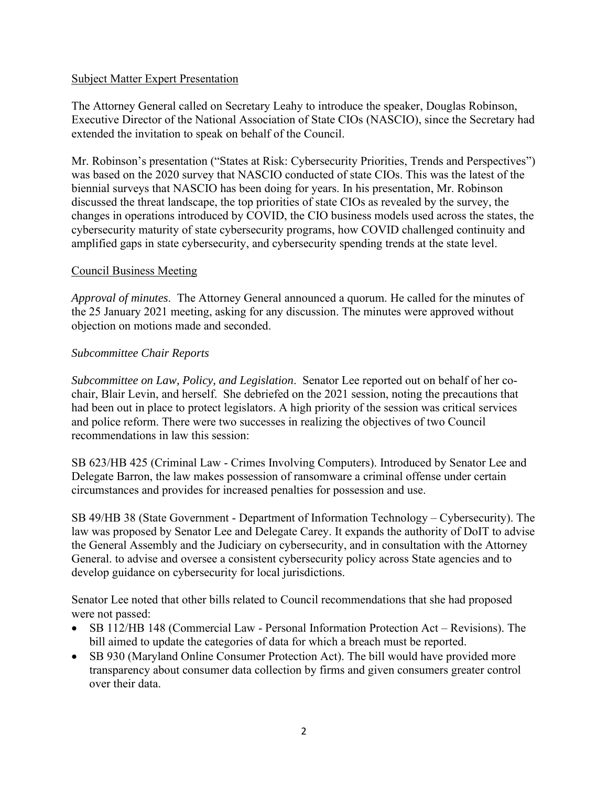## Subject Matter Expert Presentation

The Attorney General called on Secretary Leahy to introduce the speaker, Douglas Robinson, Executive Director of the National Association of State CIOs (NASCIO), since the Secretary had extended the invitation to speak on behalf of the Council.

Mr. Robinson's presentation ("States at Risk: Cybersecurity Priorities, Trends and Perspectives") was based on the 2020 survey that NASCIO conducted of state CIOs. This was the latest of the biennial surveys that NASCIO has been doing for years. In his presentation, Mr. Robinson discussed the threat landscape, the top priorities of state CIOs as revealed by the survey, the changes in operations introduced by COVID, the CIO business models used across the states, the cybersecurity maturity of state cybersecurity programs, how COVID challenged continuity and amplified gaps in state cybersecurity, and cybersecurity spending trends at the state level.

## Council Business Meeting

*Approval of minutes*. The Attorney General announced a quorum. He called for the minutes of the 25 January 2021 meeting, asking for any discussion. The minutes were approved without objection on motions made and seconded.

## *Subcommittee Chair Reports*

*Subcommittee on Law, Policy, and Legislation*. Senator Lee reported out on behalf of her cochair, Blair Levin, and herself. She debriefed on the 2021 session, noting the precautions that had been out in place to protect legislators. A high priority of the session was critical services and police reform. There were two successes in realizing the objectives of two Council recommendations in law this session:

SB 623/HB 425 (Criminal Law - Crimes Involving Computers). Introduced by Senator Lee and Delegate Barron, the law makes possession of ransomware a criminal offense under certain circumstances and provides for increased penalties for possession and use.

SB 49/HB 38 (State Government - Department of Information Technology – Cybersecurity). The law was proposed by Senator Lee and Delegate Carey. It expands the authority of DoIT to advise the General Assembly and the Judiciary on cybersecurity, and in consultation with the Attorney General. to advise and oversee a consistent cybersecurity policy across State agencies and to develop guidance on cybersecurity for local jurisdictions.

Senator Lee noted that other bills related to Council recommendations that she had proposed were not passed:

- SB 112/HB 148 (Commercial Law Personal Information Protection Act Revisions). The bill aimed to update the categories of data for which a breach must be reported.
- SB 930 (Maryland Online Consumer Protection Act). The bill would have provided more transparency about consumer data collection by firms and given consumers greater control over their data.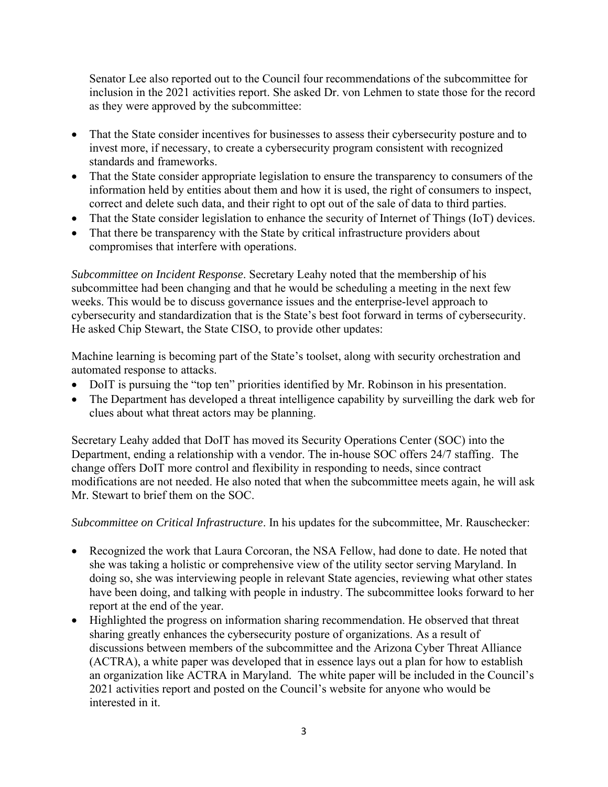Senator Lee also reported out to the Council four recommendations of the subcommittee for inclusion in the 2021 activities report. She asked Dr. von Lehmen to state those for the record as they were approved by the subcommittee:

- That the State consider incentives for businesses to assess their cybersecurity posture and to invest more, if necessary, to create a cybersecurity program consistent with recognized standards and frameworks.
- That the State consider appropriate legislation to ensure the transparency to consumers of the information held by entities about them and how it is used, the right of consumers to inspect, correct and delete such data, and their right to opt out of the sale of data to third parties.
- That the State consider legislation to enhance the security of Internet of Things (IoT) devices.
- That there be transparency with the State by critical infrastructure providers about compromises that interfere with operations.

*Subcommittee on Incident Response*. Secretary Leahy noted that the membership of his subcommittee had been changing and that he would be scheduling a meeting in the next few weeks. This would be to discuss governance issues and the enterprise-level approach to cybersecurity and standardization that is the State's best foot forward in terms of cybersecurity. He asked Chip Stewart, the State CISO, to provide other updates:

Machine learning is becoming part of the State's toolset, along with security orchestration and automated response to attacks.

- DoIT is pursuing the "top ten" priorities identified by Mr. Robinson in his presentation.
- The Department has developed a threat intelligence capability by surveilling the dark web for clues about what threat actors may be planning.

Secretary Leahy added that DoIT has moved its Security Operations Center (SOC) into the Department, ending a relationship with a vendor. The in-house SOC offers 24/7 staffing. The change offers DoIT more control and flexibility in responding to needs, since contract modifications are not needed. He also noted that when the subcommittee meets again, he will ask Mr. Stewart to brief them on the SOC.

*Subcommittee on Critical Infrastructure*. In his updates for the subcommittee, Mr. Rauschecker:

- Recognized the work that Laura Corcoran, the NSA Fellow, had done to date. He noted that she was taking a holistic or comprehensive view of the utility sector serving Maryland. In doing so, she was interviewing people in relevant State agencies, reviewing what other states have been doing, and talking with people in industry. The subcommittee looks forward to her report at the end of the year.
- Highlighted the progress on information sharing recommendation. He observed that threat sharing greatly enhances the cybersecurity posture of organizations. As a result of discussions between members of the subcommittee and the Arizona Cyber Threat Alliance (ACTRA), a white paper was developed that in essence lays out a plan for how to establish an organization like ACTRA in Maryland. The white paper will be included in the Council's 2021 activities report and posted on the Council's website for anyone who would be interested in it.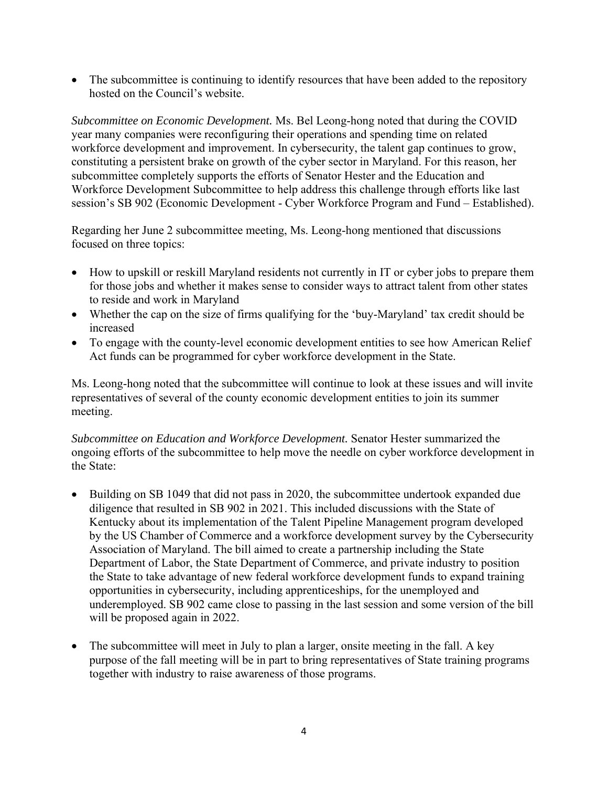• The subcommittee is continuing to identify resources that have been added to the repository hosted on the Council's website.

*Subcommittee on Economic Development.* Ms. Bel Leong-hong noted that during the COVID year many companies were reconfiguring their operations and spending time on related workforce development and improvement. In cybersecurity, the talent gap continues to grow, constituting a persistent brake on growth of the cyber sector in Maryland. For this reason, her subcommittee completely supports the efforts of Senator Hester and the Education and Workforce Development Subcommittee to help address this challenge through efforts like last session's SB 902 (Economic Development - Cyber Workforce Program and Fund – Established).

Regarding her June 2 subcommittee meeting, Ms. Leong-hong mentioned that discussions focused on three topics:

- How to upskill or reskill Maryland residents not currently in IT or cyber jobs to prepare them for those jobs and whether it makes sense to consider ways to attract talent from other states to reside and work in Maryland
- Whether the cap on the size of firms qualifying for the 'buy-Maryland' tax credit should be increased
- To engage with the county-level economic development entities to see how American Relief Act funds can be programmed for cyber workforce development in the State.

Ms. Leong-hong noted that the subcommittee will continue to look at these issues and will invite representatives of several of the county economic development entities to join its summer meeting.

*Subcommittee on Education and Workforce Development.* Senator Hester summarized the ongoing efforts of the subcommittee to help move the needle on cyber workforce development in the State:

- Building on SB 1049 that did not pass in 2020, the subcommittee undertook expanded due diligence that resulted in SB 902 in 2021. This included discussions with the State of Kentucky about its implementation of the Talent Pipeline Management program developed by the US Chamber of Commerce and a workforce development survey by the Cybersecurity Association of Maryland. The bill aimed to create a partnership including the State Department of Labor, the State Department of Commerce, and private industry to position the State to take advantage of new federal workforce development funds to expand training opportunities in cybersecurity, including apprenticeships, for the unemployed and underemployed. SB 902 came close to passing in the last session and some version of the bill will be proposed again in 2022.
- The subcommittee will meet in July to plan a larger, onsite meeting in the fall. A key purpose of the fall meeting will be in part to bring representatives of State training programs together with industry to raise awareness of those programs.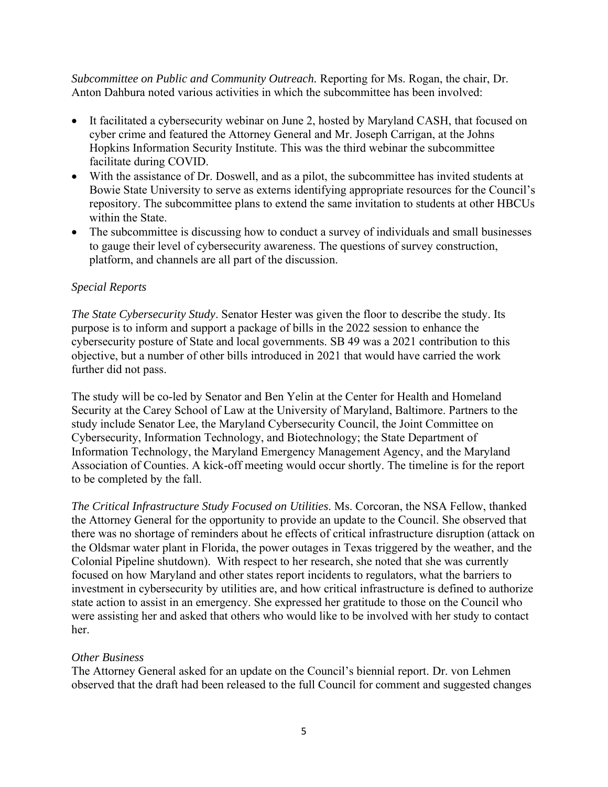*Subcommittee on Public and Community Outreach.* Reporting for Ms. Rogan, the chair, Dr. Anton Dahbura noted various activities in which the subcommittee has been involved:

- It facilitated a cybersecurity webinar on June 2, hosted by Maryland CASH, that focused on cyber crime and featured the Attorney General and Mr. Joseph Carrigan, at the Johns Hopkins Information Security Institute. This was the third webinar the subcommittee facilitate during COVID.
- With the assistance of Dr. Doswell, and as a pilot, the subcommittee has invited students at Bowie State University to serve as externs identifying appropriate resources for the Council's repository. The subcommittee plans to extend the same invitation to students at other HBCUs within the State.
- The subcommittee is discussing how to conduct a survey of individuals and small businesses to gauge their level of cybersecurity awareness. The questions of survey construction, platform, and channels are all part of the discussion.

## *Special Reports*

*The State Cybersecurity Study*. Senator Hester was given the floor to describe the study. Its purpose is to inform and support a package of bills in the 2022 session to enhance the cybersecurity posture of State and local governments. SB 49 was a 2021 contribution to this objective, but a number of other bills introduced in 2021 that would have carried the work further did not pass.

The study will be co-led by Senator and Ben Yelin at the Center for Health and Homeland Security at the Carey School of Law at the University of Maryland, Baltimore. Partners to the study include Senator Lee, the Maryland Cybersecurity Council, the Joint Committee on Cybersecurity, Information Technology, and Biotechnology; the State Department of Information Technology, the Maryland Emergency Management Agency, and the Maryland Association of Counties. A kick-off meeting would occur shortly. The timeline is for the report to be completed by the fall.

*The Critical Infrastructure Study Focused on Utilities*. Ms. Corcoran, the NSA Fellow, thanked the Attorney General for the opportunity to provide an update to the Council. She observed that there was no shortage of reminders about he effects of critical infrastructure disruption (attack on the Oldsmar water plant in Florida, the power outages in Texas triggered by the weather, and the Colonial Pipeline shutdown). With respect to her research, she noted that she was currently focused on how Maryland and other states report incidents to regulators, what the barriers to investment in cybersecurity by utilities are, and how critical infrastructure is defined to authorize state action to assist in an emergency. She expressed her gratitude to those on the Council who were assisting her and asked that others who would like to be involved with her study to contact her.

#### *Other Business*

The Attorney General asked for an update on the Council's biennial report. Dr. von Lehmen observed that the draft had been released to the full Council for comment and suggested changes